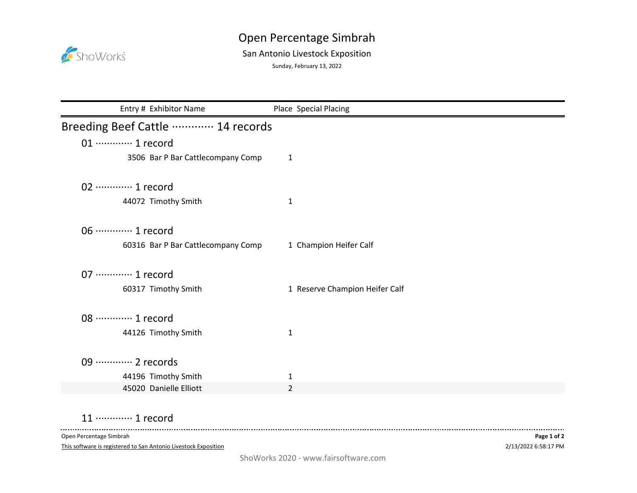

## Open Percentage Simbrah

## San Antonio Livestock Exposition

Sunday, February 13, 2022

| Entry # Exhibitor Name             | Place Special Placing          |
|------------------------------------|--------------------------------|
| Breeding Beef Cattle  14 records   |                                |
| 01 ············· 1 record          |                                |
| 3506 Bar P Bar Cattlecompany Comp  | $\mathbf{1}$                   |
| 02 ·············· 1 record         |                                |
| 44072 Timothy Smith                | 1                              |
| 06 ············· 1 record          |                                |
| 60316 Bar P Bar Cattlecompany Comp | 1 Champion Heifer Calf         |
| 07 ············· 1 record          |                                |
| 60317 Timothy Smith                | 1 Reserve Champion Heifer Calf |
| 08 ············· 1 record          |                                |
| 44126 Timothy Smith                | 1                              |
|                                    |                                |
| 44196 Timothy Smith                | 1                              |
| 45020 Danielle Elliott             | $\overline{2}$                 |
| 09 ············· 2 records         |                                |

## 11 ············· 1 record

Open Percentage Simbrah

 $\sim$   $\sim$   $\sim$ 

This software is registered to San Antonio Livestock Exposition